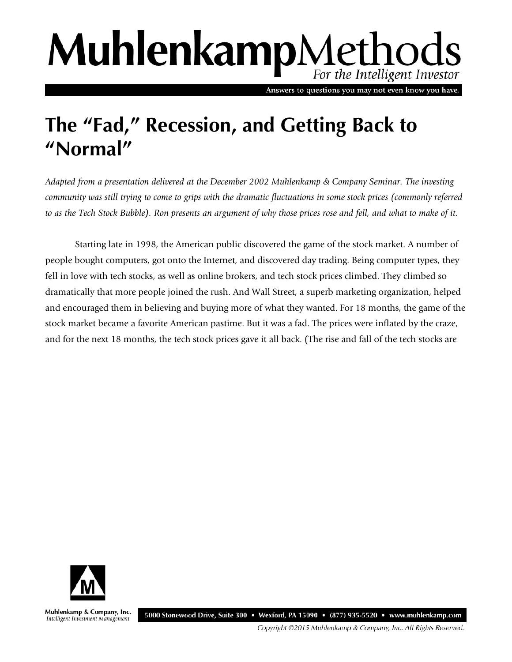# MuhlenkampMethods For the Intelligent Investor

Answers to questions you may not even know you have.

## **The "Fad," Recession, and Getting Back to "Normal"**

*Adapted from a presentation delivered at the December 2002 Muhlenkamp & Company Seminar. The investing community was still trying to come to grips with the dramatic fluctuations in some stock prices (commonly referred to as the Tech Stock Bubble). Ron presents an argument of why those prices rose and fell, and what to make of it.*

Starting late in 1998, the American public discovered the game of the stock market. A number of people bought computers, got onto the Internet, and discovered day trading. Being computer types, they fell in love with tech stocks, as well as online brokers, and tech stock prices climbed. They climbed so dramatically that more people joined the rush. And Wall Street, a superb marketing organization, helped and encouraged them in believing and buying more of what they wanted. For 18 months, the game of the stock market became a favorite American pastime. But it was a fad. The prices were inflated by the craze, and for the next 18 months, the tech stock prices gave it all back. (The rise and fall of the tech stocks are



Muhlenkamp & Company, Inc. Intelligent Investment Management

5000 Stonewood Drive, Suite 300 • Wexford, PA 15090 • (877) 935-5520 • www.muhlenkamp.com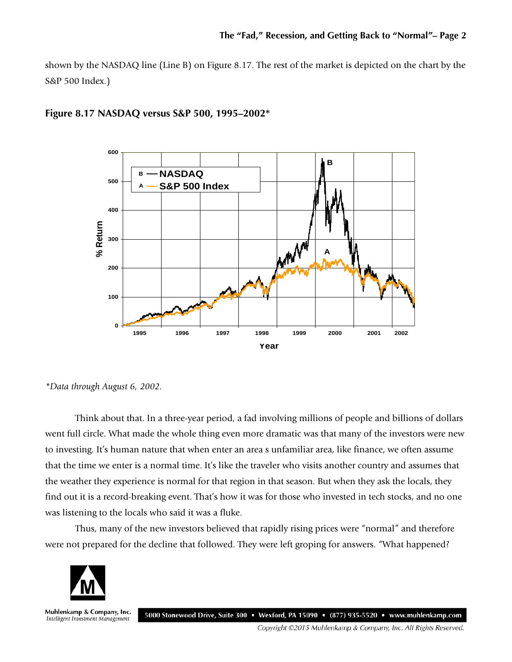shown by the NASDAQ line (Line B) on Figure 8.17. The rest of the market is depicted on the chart by the S&P 500 Index.)



#### **Figure 8.17 NASDAQ versus S&P 500, 1995–2002\***

*\*Data through August 6, 2002.*

Think about that. In a three-year period, a fad involving millions of people and billions of dollars went full circle. What made the whole thing even more dramatic was that many of the investors were new to investing. It's human nature that when enter an area s unfamiliar area, like finance, we often assume that the time we enter is a normal time. It's like the traveler who visits another country and assumes that the weather they experience is normal for that region in that season. But when they ask the locals, they find out it is a record-breaking event. That's how it was for those who invested in tech stocks, and no one was listening to the locals who said it was a fluke.

Thus, many of the new investors believed that rapidly rising prices were "normal" and therefore were not prepared for the decline that followed. They were left groping for answers. "What happened?



Muhlenkamp & Company, Inc. 5000 Stonewood Drive, Suite 300 • Wexford, PA 15090 • (877) 935-5520 • www.muhlenkamp.com Intelligent Investment Management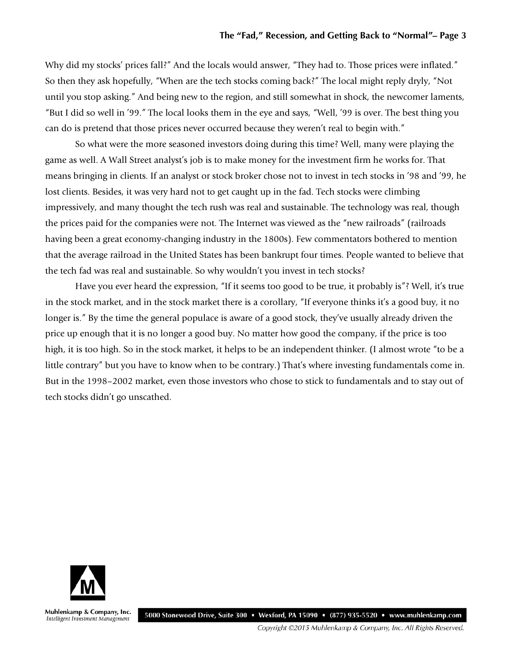Why did my stocks' prices fall?" And the locals would answer, "They had to. Those prices were inflated." So then they ask hopefully, "When are the tech stocks coming back?" The local might reply dryly, "Not until you stop asking." And being new to the region, and still somewhat in shock, the newcomer laments, "But I did so well in '99." The local looks them in the eye and says, "Well, '99 is over. The best thing you can do is pretend that those prices never occurred because they weren't real to begin with."

So what were the more seasoned investors doing during this time? Well, many were playing the game as well. A Wall Street analyst's job is to make money for the investment firm he works for. That means bringing in clients. If an analyst or stock broker chose not to invest in tech stocks in '98 and '99, he lost clients. Besides, it was very hard not to get caught up in the fad. Tech stocks were climbing impressively, and many thought the tech rush was real and sustainable. The technology was real, though the prices paid for the companies were not. The Internet was viewed as the "new railroads" (railroads having been a great economy-changing industry in the 1800s). Few commentators bothered to mention that the average railroad in the United States has been bankrupt four times. People wanted to believe that the tech fad was real and sustainable. So why wouldn't you invest in tech stocks?

Have you ever heard the expression, "If it seems too good to be true, it probably is"? Well, it's true in the stock market, and in the stock market there is a corollary, "If everyone thinks it's a good buy, it no longer is." By the time the general populace is aware of a good stock, they've usually already driven the price up enough that it is no longer a good buy. No matter how good the company, if the price is too high, it is too high. So in the stock market, it helps to be an independent thinker. (I almost wrote "to be a little contrary" but you have to know when to be contrary.) That's where investing fundamentals come in. But in the 1998–2002 market, even those investors who chose to stick to fundamentals and to stay out of tech stocks didn't go unscathed.



Muhlenkamp & Company, Inc. Intelligent Investment Management

5000 Stonewood Drive, Suite 300 • Wexford, PA 15090 • (877) 935-5520 • www.muhlenkamp.com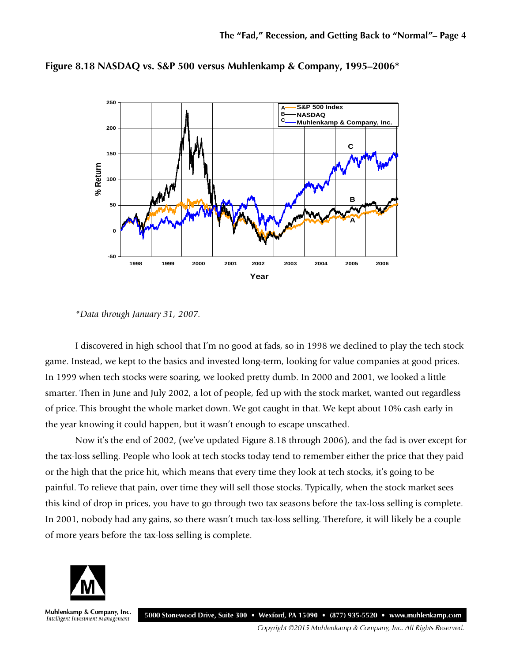

**Figure 8.18 NASDAQ vs. S&P 500 versus Muhlenkamp & Company, 1995–2006\***

I discovered in high school that I'm no good at fads, so in 1998 we declined to play the tech stock game. Instead, we kept to the basics and invested long-term, looking for value companies at good prices. In 1999 when tech stocks were soaring, we looked pretty dumb. In 2000 and 2001, we looked a little smarter. Then in June and July 2002, a lot of people, fed up with the stock market, wanted out regardless of price. This brought the whole market down. We got caught in that. We kept about 10% cash early in the year knowing it could happen, but it wasn't enough to escape unscathed.

Now it's the end of 2002, (we've updated Figure 8.18 through 2006), and the fad is over except for the tax-loss selling. People who look at tech stocks today tend to remember either the price that they paid or the high that the price hit, which means that every time they look at tech stocks, it's going to be painful. To relieve that pain, over time they will sell those stocks. Typically, when the stock market sees this kind of drop in prices, you have to go through two tax seasons before the tax-loss selling is complete. In 2001, nobody had any gains, so there wasn't much tax-loss selling. Therefore, it will likely be a couple of more years before the tax-loss selling is complete.



Muhlenkamp & Company, Inc. 5000 Stonewood Drive, Suite 300 • Wexford, PA 15090 • (877) 935-5520 • www.muhlenkamp.com Intelligent Investment Management

*<sup>\*</sup>Data through January 31, 2007.*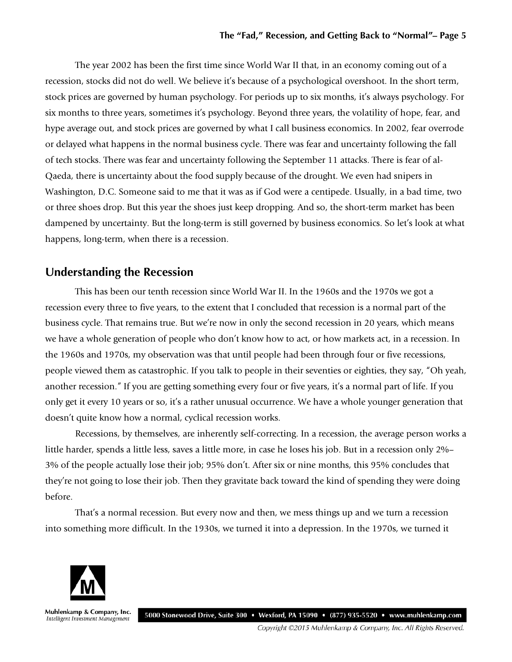The year 2002 has been the first time since World War II that, in an economy coming out of a recession, stocks did not do well. We believe it's because of a psychological overshoot. In the short term, stock prices are governed by human psychology. For periods up to six months, it's always psychology. For six months to three years, sometimes it's psychology. Beyond three years, the volatility of hope, fear, and hype average out, and stock prices are governed by what I call business economics. In 2002, fear overrode or delayed what happens in the normal business cycle. There was fear and uncertainty following the fall of tech stocks. There was fear and uncertainty following the September 11 attacks. There is fear of al-Qaeda, there is uncertainty about the food supply because of the drought. We even had snipers in Washington, D.C. Someone said to me that it was as if God were a centipede. Usually, in a bad time, two or three shoes drop. But this year the shoes just keep dropping. And so, the short-term market has been dampened by uncertainty. But the long-term is still governed by business economics. So let's look at what happens, long-term, when there is a recession.

#### **Understanding the Recession**

This has been our tenth recession since World War II. In the 1960s and the 1970s we got a recession every three to five years, to the extent that I concluded that recession is a normal part of the business cycle. That remains true. But we're now in only the second recession in 20 years, which means we have a whole generation of people who don't know how to act, or how markets act, in a recession. In the 1960s and 1970s, my observation was that until people had been through four or five recessions, people viewed them as catastrophic. If you talk to people in their seventies or eighties, they say, "Oh yeah, another recession." If you are getting something every four or five years, it's a normal part of life. If you only get it every 10 years or so, it's a rather unusual occurrence. We have a whole younger generation that doesn't quite know how a normal, cyclical recession works.

Recessions, by themselves, are inherently self-correcting. In a recession, the average person works a little harder, spends a little less, saves a little more, in case he loses his job. But in a recession only 2%– 3% of the people actually lose their job; 95% don't. After six or nine months, this 95% concludes that they're not going to lose their job. Then they gravitate back toward the kind of spending they were doing before.

That's a normal recession. But every now and then, we mess things up and we turn a recession into something more difficult. In the 1930s, we turned it into a depression. In the 1970s, we turned it



Muhlenkamp & Company, Inc. 5000 Stonewood Drive, Suite 300 • Wexford, PA 15090 • (877) 935-5520 • www.muhlenkamp.com Intelligent Investment Management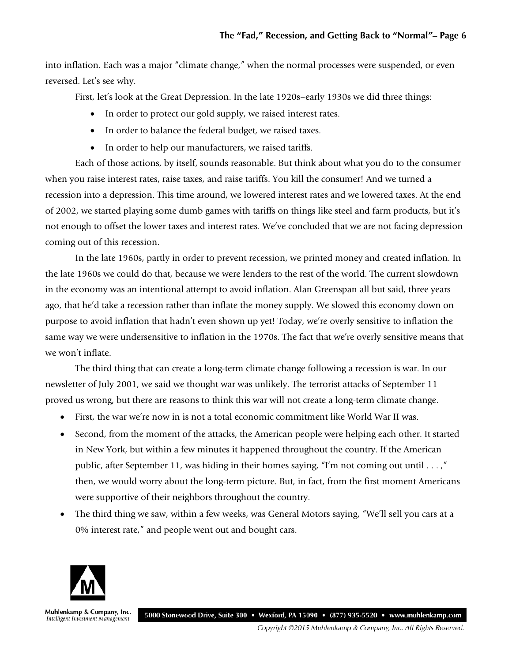into inflation. Each was a major "climate change," when the normal processes were suspended, or even reversed. Let's see why.

First, let's look at the Great Depression. In the late 1920s–early 1930s we did three things:

- In order to protect our gold supply, we raised interest rates.
- In order to balance the federal budget, we raised taxes.
- In order to help our manufacturers, we raised tariffs.

Each of those actions, by itself, sounds reasonable. But think about what you do to the consumer when you raise interest rates, raise taxes, and raise tariffs. You kill the consumer! And we turned a recession into a depression. This time around, we lowered interest rates and we lowered taxes. At the end of 2002, we started playing some dumb games with tariffs on things like steel and farm products, but it's not enough to offset the lower taxes and interest rates. We've concluded that we are not facing depression coming out of this recession.

In the late 1960s, partly in order to prevent recession, we printed money and created inflation. In the late 1960s we could do that, because we were lenders to the rest of the world. The current slowdown in the economy was an intentional attempt to avoid inflation. Alan Greenspan all but said, three years ago, that he'd take a recession rather than inflate the money supply. We slowed this economy down on purpose to avoid inflation that hadn't even shown up yet! Today, we're overly sensitive to inflation the same way we were undersensitive to inflation in the 1970s. The fact that we're overly sensitive means that we won't inflate.

The third thing that can create a long-term climate change following a recession is war. In our newsletter of July 2001, we said we thought war was unlikely. The terrorist attacks of September 11 proved us wrong, but there are reasons to think this war will not create a long-term climate change.

- First, the war we're now in is not a total economic commitment like World War II was.
- Second, from the moment of the attacks, the American people were helping each other. It started in New York, but within a few minutes it happened throughout the country. If the American public, after September 11, was hiding in their homes saying, "I'm not coming out until . . . ," then, we would worry about the long-term picture. But, in fact, from the first moment Americans were supportive of their neighbors throughout the country.
- The third thing we saw, within a few weeks, was General Motors saying, "We'll sell you cars at a 0% interest rate," and people went out and bought cars.



Muhlenkamp & Company, Inc. 5000 Stonewood Drive, Suite 300 • Wexford, PA 15090 • (877) 935-5520 • www.muhlenkamp.com Intelligent Investment Management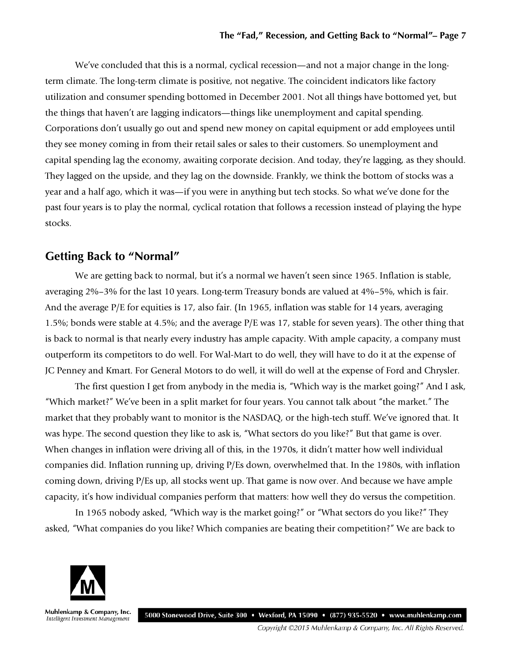We've concluded that this is a normal, cyclical recession—and not a major change in the longterm climate. The long-term climate is positive, not negative. The coincident indicators like factory utilization and consumer spending bottomed in December 2001. Not all things have bottomed yet, but the things that haven't are lagging indicators—things like unemployment and capital spending. Corporations don't usually go out and spend new money on capital equipment or add employees until they see money coming in from their retail sales or sales to their customers. So unemployment and capital spending lag the economy, awaiting corporate decision. And today, they're lagging, as they should. They lagged on the upside, and they lag on the downside. Frankly, we think the bottom of stocks was a year and a half ago, which it was—if you were in anything but tech stocks. So what we've done for the past four years is to play the normal, cyclical rotation that follows a recession instead of playing the hype stocks.

#### **Getting Back to "Normal"**

We are getting back to normal, but it's a normal we haven't seen since 1965. Inflation is stable, averaging 2%–3% for the last 10 years. Long-term Treasury bonds are valued at 4%–5%, which is fair. And the average P/E for equities is 17, also fair. (In 1965, inflation was stable for 14 years, averaging 1.5%; bonds were stable at 4.5%; and the average P/E was 17, stable for seven years). The other thing that is back to normal is that nearly every industry has ample capacity. With ample capacity, a company must outperform its competitors to do well. For Wal-Mart to do well, they will have to do it at the expense of JC Penney and Kmart. For General Motors to do well, it will do well at the expense of Ford and Chrysler.

The first question I get from anybody in the media is, "Which way is the market going?" And I ask, "Which market?" We've been in a split market for four years. You cannot talk about "the market." The market that they probably want to monitor is the NASDAQ, or the high-tech stuff. We've ignored that. It was hype. The second question they like to ask is, "What sectors do you like?" But that game is over. When changes in inflation were driving all of this, in the 1970s, it didn't matter how well individual companies did. Inflation running up, driving P/Es down, overwhelmed that. In the 1980s, with inflation coming down, driving P/Es up, all stocks went up. That game is now over. And because we have ample capacity, it's how individual companies perform that matters: how well they do versus the competition.

In 1965 nobody asked, "Which way is the market going?" or "What sectors do you like?" They asked, "What companies do you like? Which companies are beating their competition?" We are back to



Muhlenkamp & Company, Inc. 5000 Stonewood Drive, Suite 300 · Wexford, PA 15090 · (877) 935-5520 · www.muhlenkamp.com Intelligent Investment Management